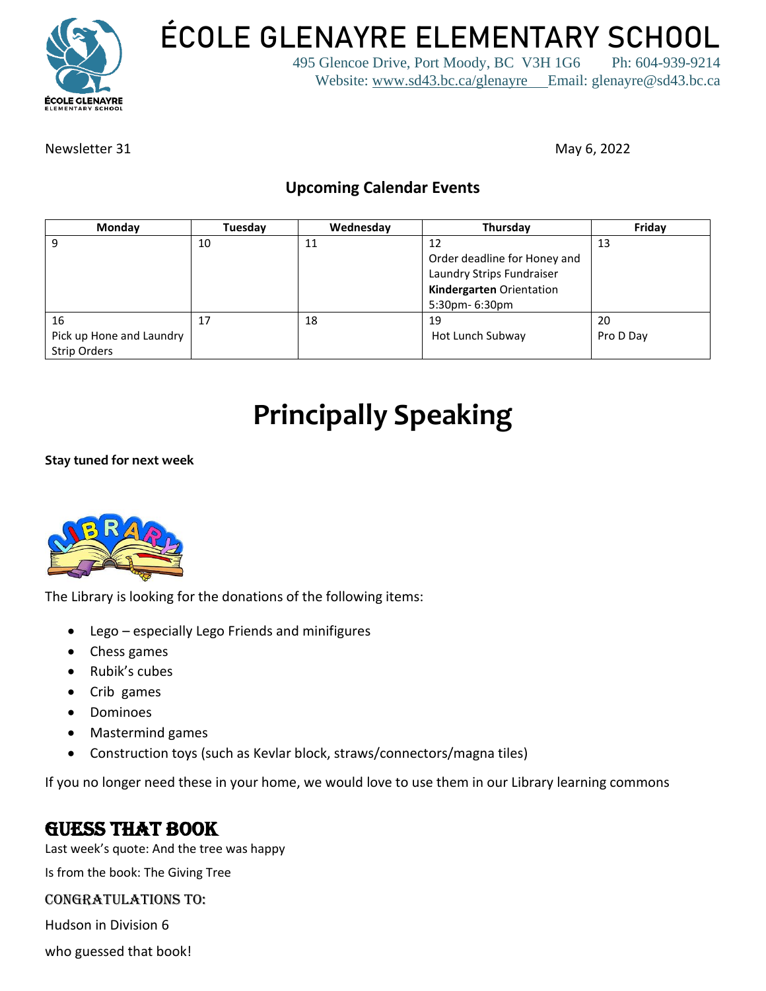

**ÉCOLE GLENAYRE ELEMENTARY SCHOOL**

495 Glencoe Drive, Port Moody, BC V3H 1G6 Ph: 604-939-9214 Website: [www.sd43.bc.ca/glenayre](http://www.sd43.bc.ca/glenayre) Email: glenayre@sd43.bc.ca

Newsletter 31 May 6, 2022

#### **Upcoming Calendar Events**

| Monday                   | Tuesday | Wednesday | Thursday                     | Friday    |
|--------------------------|---------|-----------|------------------------------|-----------|
| 9                        | 10      | 11        | 12                           | 13        |
|                          |         |           | Order deadline for Honey and |           |
|                          |         |           | Laundry Strips Fundraiser    |           |
|                          |         |           | Kindergarten Orientation     |           |
|                          |         |           | 5:30pm- 6:30pm               |           |
| 16                       | 17      | 18        | 19                           | -20       |
| Pick up Hone and Laundry |         |           | Hot Lunch Subway             | Pro D Day |
| <b>Strip Orders</b>      |         |           |                              |           |

## **Principally Speaking**

**Stay tuned for next week**



The Library is looking for the donations of the following items:

- Lego especially Lego Friends and minifigures
- Chess games
- Rubik's cubes
- Crib games
- Dominoes
- Mastermind games
- Construction toys (such as Kevlar block, straws/connectors/magna tiles)

If you no longer need these in your home, we would love to use them in our Library learning commons

#### GUESS THAT BOOK

Last week's quote: And the tree was happy

Is from the book: The Giving Tree

#### Congratulations to:

Hudson in Division 6

who guessed that book!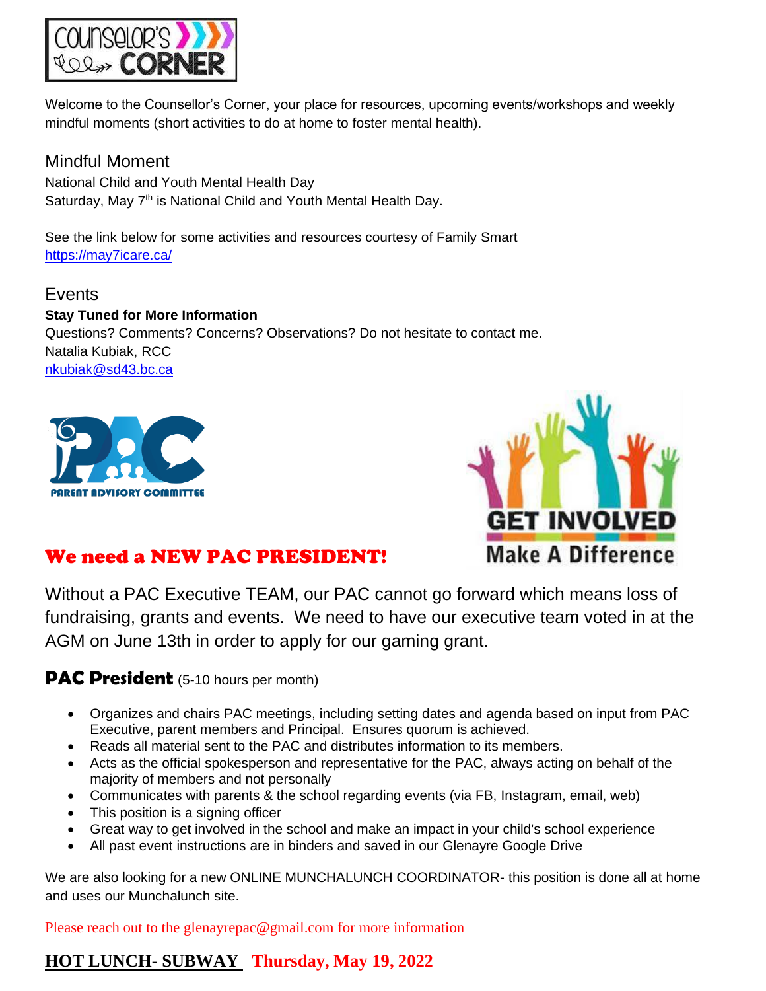

Welcome to the Counsellor's Corner, your place for resources, upcoming events/workshops and weekly mindful moments (short activities to do at home to foster mental health).

Mindful Moment National Child and Youth Mental Health Day Saturday, May 7<sup>th</sup> is National Child and Youth Mental Health Day.

See the link below for some activities and resources courtesy of Family Smart <https://may7icare.ca/>

Events **Stay Tuned for More Information** Questions? Comments? Concerns? Observations? Do not hesitate to contact me. Natalia Kubiak, RCC [nkubiak@sd43.bc.ca](mailto:nkubiak@sd43.bc.ca)





#### We need a NEW PAC PRESIDENT!

Without a PAC Executive TEAM, our PAC cannot go forward which means loss of fundraising, grants and events. We need to have our executive team voted in at the AGM on June 13th in order to apply for our gaming grant.

#### **PAC President** (5-10 hours per month)

- Organizes and chairs PAC meetings, including setting dates and agenda based on input from PAC Executive, parent members and Principal. Ensures quorum is achieved.
- Reads all material sent to the PAC and distributes information to its members.
- Acts as the official spokesperson and representative for the PAC, always acting on behalf of the majority of members and not personally
- Communicates with parents & the school regarding events (via FB, Instagram, email, web)
- This position is a signing officer
- Great way to get involved in the school and make an impact in your child's school experience
- All past event instructions are in binders and saved in our Glenayre Google Drive

We are also looking for a new ONLINE MUNCHALUNCH COORDINATOR- this position is done all at home and uses our Munchalunch site.

Please reach out to the glenayrepac@gmail.com for more information

#### **HOT LUNCH- SUBWAY Thursday, May 19, 2022**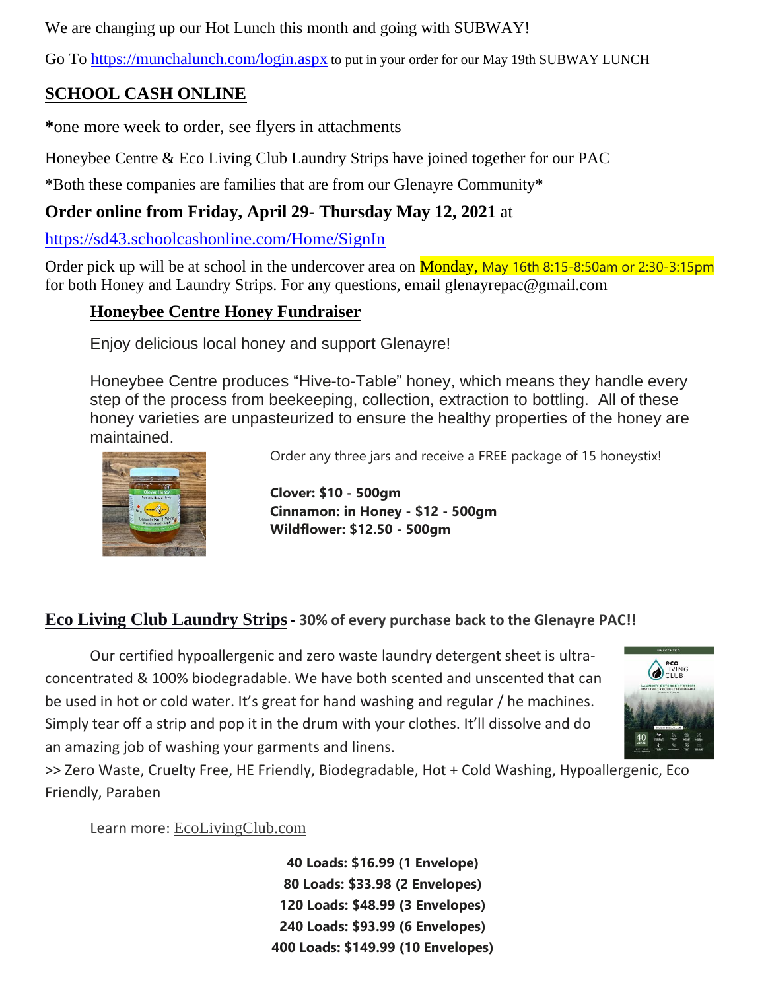We are changing up our Hot Lunch this month and going with SUBWAY!

Go To<https://munchalunch.com/login.aspx> to put in your order for our May 19th SUBWAY LUNCH

#### **SCHOOL CASH ONLINE**

**\***one more week to order, see flyers in attachments

Honeybee Centre & Eco Living Club Laundry Strips have joined together for our PAC

\*Both these companies are families that are from our Glenayre Community\*

#### **Order online from Friday, April 29- Thursday May 12, 2021** at

<https://sd43.schoolcashonline.com/Home/SignIn>

Order pick up will be at school in the undercover area on **Monday**, May 16th 8:15-8:50am or 2:30-3:15pm for both Honey and Laundry Strips. For any questions, email glenayrepac@gmail.com

#### **Honeybee Centre Honey Fundraiser**

Enjoy delicious local honey and support Glenayre!

Honeybee Centre produces "Hive-to-Table" honey, which means they handle every step of the process from beekeeping, collection, extraction to bottling. All of these honey varieties are unpasteurized to ensure the healthy properties of the honey are maintained.



Order any three jars and receive a FREE package of 15 honeystix!

**Clover: \$10 - 500gm Cinnamon: in Honey - \$12 - 500gm Wildflower: \$12.50 - 500gm**

#### **Eco Living Club Laundry Strips- 30% of every purchase back to the Glenayre PAC!!**

Our certified hypoallergenic and zero waste laundry detergent sheet is ultraconcentrated & 100% biodegradable. We have both scented and unscented that can be used in hot or cold water. It's great for hand washing and regular / he machines. Simply tear off a strip and pop it in the drum with your clothes. It'll dissolve and do an amazing job of washing your garments and linens.



>> Zero Waste, Cruelty Free, HE Friendly, Biodegradable, Hot + Cold Washing, Hypoallergenic, Eco Friendly, Paraben

Learn more: [EcoLivingClub.com](https://ecolivingclub.com/)

**40 Loads: \$16.99 (1 Envelope) 80 Loads: \$33.98 (2 Envelopes) 120 Loads: \$48.99 (3 Envelopes) 240 Loads: \$93.99 (6 Envelopes) 400 Loads: \$149.99 (10 Envelopes)**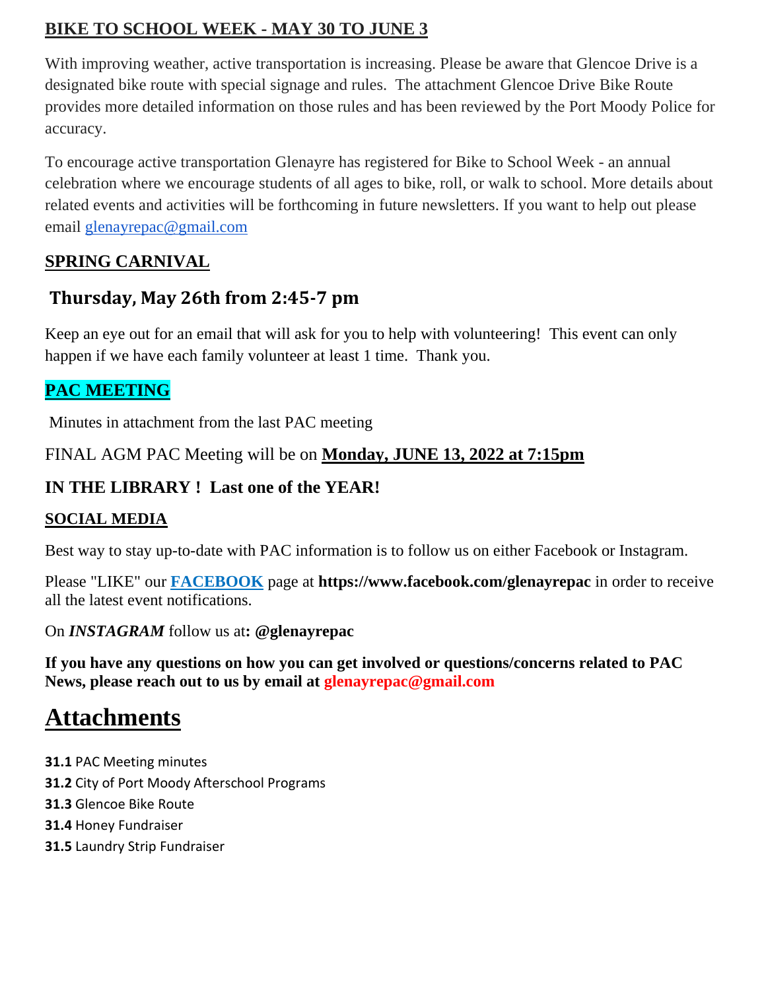#### **BIKE TO SCHOOL WEEK - MAY 30 TO JUNE 3**

With improving weather, active transportation is increasing. Please be aware that Glencoe Drive is a designated bike route with special signage and rules. The attachment Glencoe Drive Bike Route provides more detailed information on those rules and has been reviewed by the Port Moody Police for accuracy.

To encourage active transportation Glenayre has registered for Bike to School Week - an annual celebration where we encourage students of all ages to bike, roll, or walk to school. More details about related events and activities will be forthcoming in future newsletters. If you want to help out please email [glenayrepac@gmail.com](mailto:glenayrepac@gmail.com)

#### **SPRING CARNIVAL**

#### **Thursday, May 26th from 2:45-7 pm**

Keep an eye out for an email that will ask for you to help with volunteering! This event can only happen if we have each family volunteer at least 1 time. Thank you.

#### **PAC MEETING**

Minutes in attachment from the last PAC meeting

FINAL AGM PAC Meeting will be on **Monday, JUNE 13, 2022 at 7:15pm** 

#### **IN THE LIBRARY ! Last one of the YEAR!**

#### **SOCIAL MEDIA**

Best way to stay up-to-date with PAC information is to follow us on either Facebook or Instagram.

Please "LIKE" our **FACEBOOK** page at **https://www.facebook.com/glenayrepac** in order to receive all the latest event notifications.

On *INSTAGRAM* follow us at**: @glenayrepac**

**If you have any questions on how you can get involved or questions/concerns related to PAC News, please reach out to us by email at glenayrepac@gmail.com**

### **Attachments**

- **31.1** PAC Meeting minutes
- **31.2** City of Port Moody Afterschool Programs
- **31.3** Glencoe Bike Route
- **31.4** Honey Fundraiser
- **31.5** Laundry Strip Fundraiser